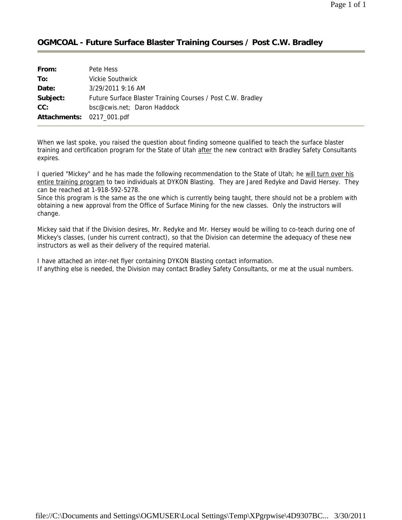## **OGMCOAL - Future Surface Blaster Training Courses / Post C.W. Bradley**

| From:                     | Pete Hess                                                   |
|---------------------------|-------------------------------------------------------------|
| To:                       | <b>Vickie Southwick</b>                                     |
| Date:                     | $3/29/20119:16$ AM                                          |
| Subject:                  | Future Surface Blaster Training Courses / Post C.W. Bradley |
| CC:                       | bsc@cwis.net; Daron Haddock                                 |
| Attachments: 0217_001.pdf |                                                             |

When we last spoke, you raised the question about finding someone qualified to teach the surface blaster training and certification program for the State of Utah after the new contract with Bradley Safety Consultants expires.

I queried "Mickey" and he has made the following recommendation to the State of Utah; he will turn over his entire training program to two individuals at DYKON Blasting. They are Jared Redyke and David Hersey. They can be reached at 1-918-592-5278.

Since this program is the same as the one which is currently being taught, there should not be a problem with obtaining a new approval from the Office of Surface Mining for the new classes. Only the instructors will change.

Mickey said that if the Division desires, Mr. Redyke and Mr. Hersey would be willing to co-teach during one of Mickey's classes, (under his current contract), so that the Division can determine the adequacy of these new instructors as well as their delivery of the required material.

I have attached an inter-net flyer containing DYKON Blasting contact information. If anything else is needed, the Division may contact Bradley Safety Consultants, or me at the usual numbers.